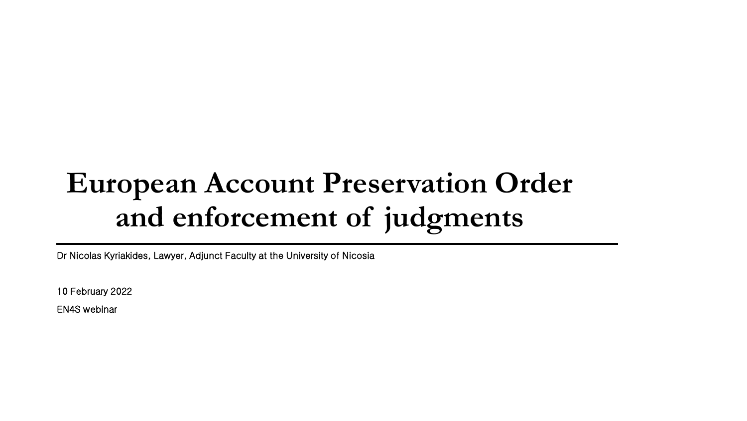## **European Account Preservation Order and enforcement of judgments**

Dr Nicolas Kyriakides, Lawyer, Adjunct Faculty at the University of Nicosia

10 February 2022

EN4S webinar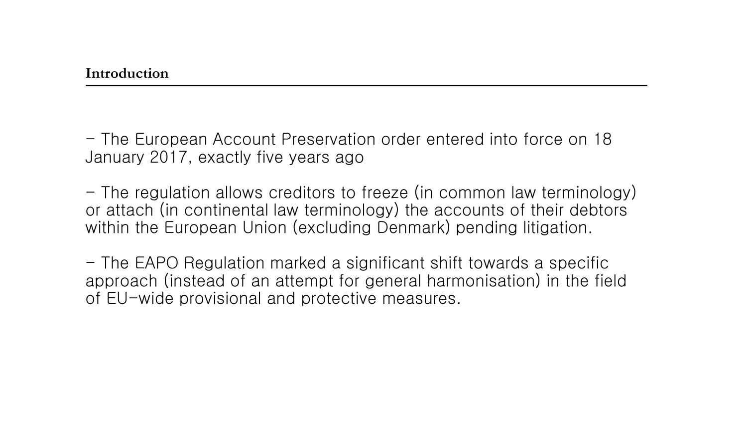- The European Account Preservation order entered into force on 18 January 2017, exactly five years ago

- The regulation allows creditors to freeze (in common law terminology) or attach (in continental law terminology) the accounts of their debtors within the European Union (excluding Denmark) pending litigation.

- The EAPO Regulation marked a significant shift towards a specific approach (instead of an attempt for general harmonisation) in the field of EU-wide provisional and protective measures.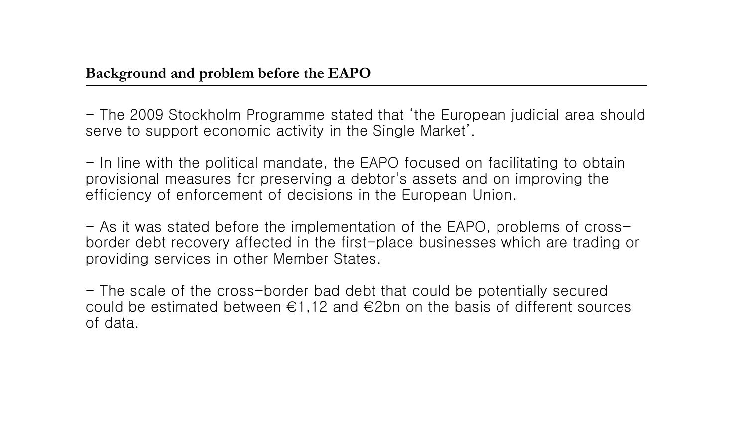- The 2009 Stockholm Programme stated that 'the European judicial area should serve to support economic activity in the Single Market'.

- In line with the political mandate, the EAPO focused on facilitating to obtain provisional measures for preserving a debtor's assets and on improving the efficiency of enforcement of decisions in the European Union.

- As it was stated before the implementation of the EAPO, problems of crossborder debt recovery affected in the first-place businesses which are trading or providing services in other Member States.

- The scale of the cross-border bad debt that could be potentially secured could be estimated between  $\epsilon$ 1,12 and  $\epsilon$ 2bn on the basis of different sources of data.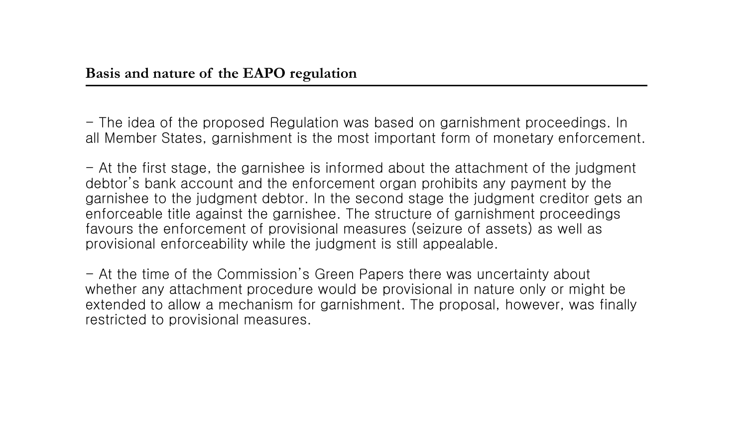- The idea of the proposed Regulation was based on garnishment proceedings. In all Member States, garnishment is the most important form of monetary enforcement.

 $-$  At the first stage, the garnishee is informed about the attachment of the judgment debtor's bank account and the enforcement organ prohibits any payment by the garnishee to the judgment debtor. In the second stage the judgment creditor gets an enforceable title against the garnishee. The structure of garnishment proceedings favours the enforcement of provisional measures (seizure of assets) as well as provisional enforceability while the judgment is still appealable.

- At the time of the Commission's Green Papers there was uncertainty about whether any attachment procedure would be provisional in nature only or might be extended to allow a mechanism for garnishment. The proposal, however, was finally restricted to provisional measures.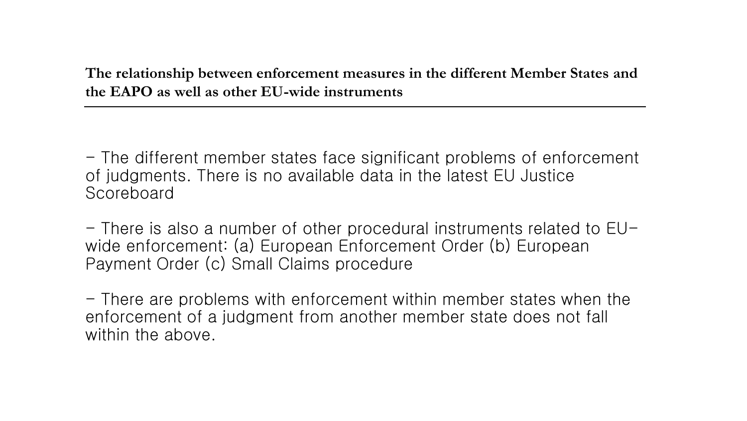**The relationship between enforcement measures in the different Member States and the EAPO as well as other EU-wide instruments** 

- The different member states face significant problems of enforcement of judgments. There is no available data in the latest EU Justice Scoreboard

 $-$  There is also a number of other procedural instruments related to  $E_{\text{U}}$ wide enforcement: (a) European Enforcement Order (b) European Payment Order (c) Small Claims procedure

- There are problems with enforcement within member states when the enforcement of a judgment from another member state does not fall within the above.